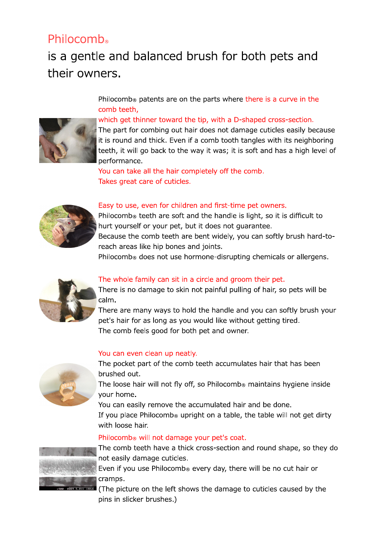## Philocomb

# is a gentle and balanced brush for both pets and their owners.

Philocomb<sup>®</sup> patents are on the parts where there is a curve in the comb teeth.



#### which get thinner toward the tip, with a D-shaped cross-section.

The part for combing out hair does not damage cuticles easily because it is round and thick. Even if a comb tooth tangles with its neighboring teeth, it will go back to the way it was; it is soft and has a high level of performance.

You can take all the hair completely off the comb. Takes great care of cuticles.



#### Easy to use, even for children and first-time pet owners.

Philocomb<sup>®</sup> teeth are soft and the handle is light, so it is difficult to hurt yourself or your pet, but it does not quarantee.

Because the comb teeth are bent widely, you can softly brush hard-toreach areas like hip bones and joints.

Philocomb<sup>®</sup> does not use hormone-disrupting chemicals or allergens.



#### The whole family can sit in a circle and groom their pet.

There is no damage to skin not painful pulling of hair, so pets will be calm.

There are many ways to hold the handle and you can softly brush your pet's hair for as long as you would like without getting tired. The comb feels good for both pet and owner.

#### You can even clean up neatly.



The pocket part of the comb teeth accumulates hair that has been brushed out.

The loose hair will not fly off, so Philocomb<sup>®</sup> maintains hygiene inside vour home.

You can easily remove the accumulated hair and be done.

If you place Philocomb<sup>®</sup> upright on a table, the table will not get dirty with loose hair.

#### Philocomb<sup>®</sup> will not damage your pet's coat.



The comb teeth have a thick cross-section and round shape, so they do not easily damage cuticles.

Even if you use Philocomb<sup>®</sup> every day, there will be no cut hair or cramps.

(The picture on the left shows the damage to cuticles caused by the pins in slicker brushes.)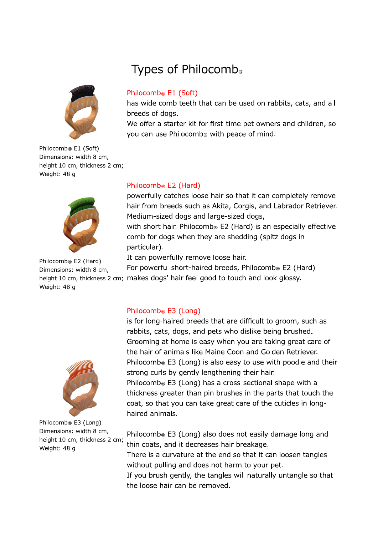

Philocomb<sup>®</sup> E1 (Soft) Dimensions: width 8 cm, height 10 cm, thickness 2 cm; Weight: 48 g



Philocomb<sup>®</sup> E2 (Hard) Dimensions: width 8 cm, Weight: 48 g

### Philocomb<sup>®</sup> E1 (Soft)

Types of Philocomb®

has wide comb teeth that can be used on rabbits, cats, and all breeds of dogs.

We offer a starter kit for first-time pet owners and children, so you can use Philocomb<sup>®</sup> with peace of mind.

#### Philocomb<sup>®</sup> E2 (Hard)

powerfully catches loose hair so that it can completely remove hair from breeds such as Akita, Corgis, and Labrador Retriever. Medium-sized dogs and large-sized dogs,

with short hair. Philocomb® E2 (Hard) is an especially effective comb for dogs when they are shedding (spitz dogs in particular).

It can powerfully remove loose hair.

For powerful short-haired breeds, Philocomb® E2 (Hard) height 10 cm, thickness 2 cm; makes dogs' hair feel good to touch and look glossy.



Philocomb® E3 (Long) Dimensions: width 8 cm, height 10 cm, thickness 2 cm; Weight: 48 g

#### Philocomb<sup>®</sup> E3 (Long)

is for long-haired breeds that are difficult to groom, such as rabbits, cats, dogs, and pets who dislike being brushed. Grooming at home is easy when you are taking great care of the hair of animals like Maine Coon and Golden Retriever. Philocomb<sup>®</sup> E3 (Long) is also easy to use with poodle and their strong curls by gently lengthening their hair.

Philocomb<sup>®</sup> E3 (Long) has a cross-sectional shape with a thickness greater than pin brushes in the parts that touch the coat, so that you can take great care of the cuticles in longhaired animals.

Philocomb<sup>®</sup> E3 (Long) also does not easily damage long and thin coats, and it decreases hair breakage.

There is a curvature at the end so that it can loosen tangles without pulling and does not harm to your pet.

If you brush gently, the tangles will naturally untangle so that the loose hair can be removed.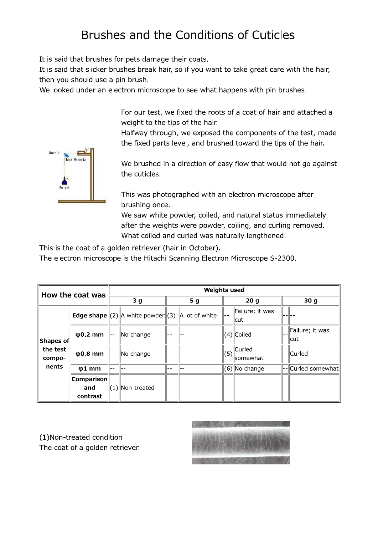## Brushes and the Conditions of Cuticles

It is said that brushes for pets damage their coats.

It is said that slicker brushes break hair, so if you want to take great care with the hair, then you should use a pin brush.

We looked under an electron microscope to see what happens with pin brushes.

For our test, we fixed the roots of a coat of hair and attached a weight to the tips of the hair.

Halfway through, we exposed the components of the test, made the fixed parts level, and brushed toward the tips of the hair.

We brushed in a direction of easy flow that would not go against the cuticles.

This was photographed with an electron microscope after brushing once.

We saw white powder, coiled, and natural status immediately after the weights were powder, coiling, and curling removed. What coiled and curled was naturally lengthened.

This is the coat of a golden retriever (hair in October).

The electron microscope is the Hitachi Scanning Electron Microscope S-2300.

| How the coat was                         |                                   | <b>Weights used</b> |                                                                     |                |  |                 |                          |                 |                               |
|------------------------------------------|-----------------------------------|---------------------|---------------------------------------------------------------------|----------------|--|-----------------|--------------------------|-----------------|-------------------------------|
|                                          |                                   | 3 <sub>g</sub>      |                                                                     | 5 <sub>g</sub> |  | 20 <sub>g</sub> |                          | 30 <sub>g</sub> |                               |
| Shapes of<br>the test<br>compo-<br>nents |                                   |                     | <b>Edge shape</b> $\ (2)\ $ A white powder $\ (3)\ $ A lot of white |                |  | I.              | Failure; it was<br>  cut |                 |                               |
|                                          | $\phi$ 0.2 mm                     | ll--                | lNo change                                                          | $- -$          |  |                 | $(4)$ Coiled             |                 | Failure; it was<br><b>cut</b> |
|                                          | $\varphi$ 0.8 mm                  | --                  | No change                                                           | $ -$           |  | (5)             | Curled<br>llsomewhat     |                 | --  Curled                    |
|                                          | $\varphi$ 1 mm                    | --                  |                                                                     |                |  |                 | (6) No change            |                 | --  Curled somewhat           |
|                                          | $ $ Comparison<br>and<br>contrast |                     | $(1)$ Non-treated                                                   | <b></b>        |  | --              |                          |                 |                               |

(1) Non-treated condition The coat of a golden retriever.



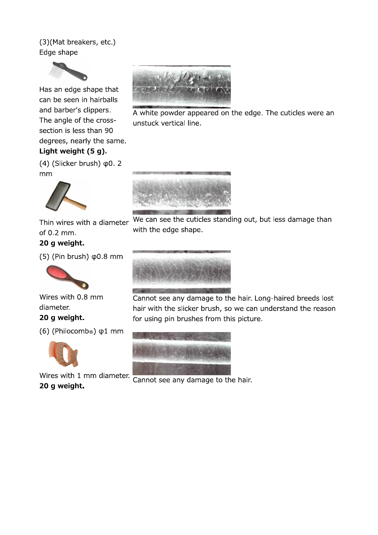### (3)(Mat breakers, etc.) Edge shape



Has an edge shape that can be seen in hairballs and barber's clippers. The angle of the crosssection is less than 90 degrees, nearly the same.

### Light weight (5 g).

 $(4)$  (Slicker brush)  $\phi$ 0. 2 mm



Thin wires with a diameter of 0.2 mm. 20 g weight.

 $(5)$  (Pin brush)  $\phi$ 0.8 mm



Wires with 0.8 mm diameter. 20 g weight.

 $(6)$  (Philocomb<sup>®</sup>)  $\phi$ 1 mm



Wires with 1 mm diameter. 20 g weight.



A white powder appeared on the edge. The cuticles were an unstuck vertical line.



We can see the cuticles standing out, but less damage than with the edge shape.



Cannot see any damage to the hair. Long-haired breeds lost hair with the slicker brush, so we can understand the reason for using pin brushes from this picture.



Cannot see any damage to the hair.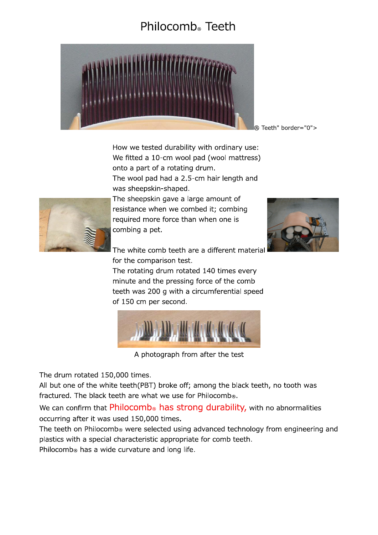## Philocomb<sup>®</sup> Teeth



® Teeth" border="0">

How we tested durability with ordinary use: We fitted a 10-cm wool pad (wool mattress) onto a part of a rotating drum. The wool pad had a 2.5-cm hair length and was sheepskin-shaped.



The sheepskin gave a large amount of resistance when we combed it; combing required more force than when one is combing a pet.



The white comb teeth are a different material for the comparison test.

The rotating drum rotated 140 times every minute and the pressing force of the comb teeth was 200 g with a circumferential speed of 150 cm per second.



A photograph from after the test

The drum rotated 150,000 times.

All but one of the white teeth(PBT) broke off; among the black teeth, no tooth was fractured. The black teeth are what we use for Philocomb®.

We can confirm that Philocomb<sup>®</sup> has strong durability, with no abnormalities occurring after it was used 150,000 times.

The teeth on Philocomb® were selected using advanced technology from engineering and plastics with a special characteristic appropriate for comb teeth.

Philocomb<sup>®</sup> has a wide curvature and long life.